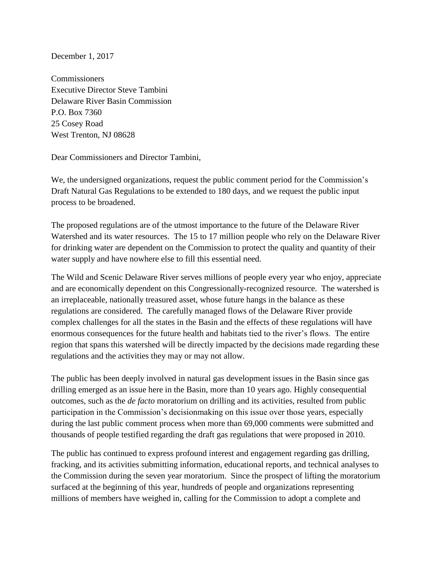December 1, 2017

**Commissioners** Executive Director Steve Tambini Delaware River Basin Commission P.O. Box 7360 25 Cosey Road West Trenton, NJ 08628

Dear Commissioners and Director Tambini,

We, the undersigned organizations, request the public comment period for the Commission's Draft Natural Gas Regulations to be extended to 180 days, and we request the public input process to be broadened.

The proposed regulations are of the utmost importance to the future of the Delaware River Watershed and its water resources. The 15 to 17 million people who rely on the Delaware River for drinking water are dependent on the Commission to protect the quality and quantity of their water supply and have nowhere else to fill this essential need.

The Wild and Scenic Delaware River serves millions of people every year who enjoy, appreciate and are economically dependent on this Congressionally-recognized resource. The watershed is an irreplaceable, nationally treasured asset, whose future hangs in the balance as these regulations are considered. The carefully managed flows of the Delaware River provide complex challenges for all the states in the Basin and the effects of these regulations will have enormous consequences for the future health and habitats tied to the river's flows. The entire region that spans this watershed will be directly impacted by the decisions made regarding these regulations and the activities they may or may not allow.

The public has been deeply involved in natural gas development issues in the Basin since gas drilling emerged as an issue here in the Basin, more than 10 years ago. Highly consequential outcomes, such as the *de facto* moratorium on drilling and its activities, resulted from public participation in the Commission's decisionmaking on this issue over those years, especially during the last public comment process when more than 69,000 comments were submitted and thousands of people testified regarding the draft gas regulations that were proposed in 2010.

The public has continued to express profound interest and engagement regarding gas drilling, fracking, and its activities submitting information, educational reports, and technical analyses to the Commission during the seven year moratorium. Since the prospect of lifting the moratorium surfaced at the beginning of this year, hundreds of people and organizations representing millions of members have weighed in, calling for the Commission to adopt a complete and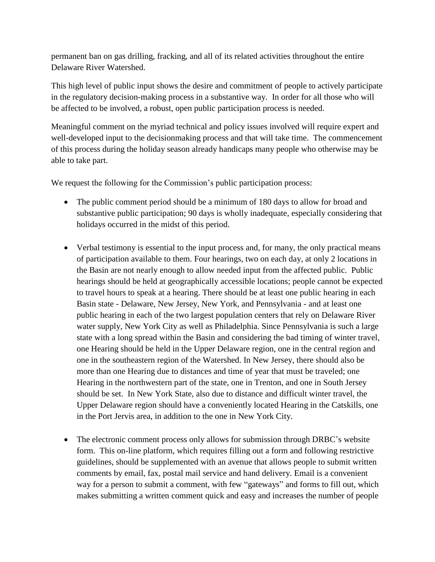permanent ban on gas drilling, fracking, and all of its related activities throughout the entire Delaware River Watershed.

This high level of public input shows the desire and commitment of people to actively participate in the regulatory decision-making process in a substantive way. In order for all those who will be affected to be involved, a robust, open public participation process is needed.

Meaningful comment on the myriad technical and policy issues involved will require expert and well-developed input to the decisionmaking process and that will take time. The commencement of this process during the holiday season already handicaps many people who otherwise may be able to take part.

We request the following for the Commission's public participation process:

- The public comment period should be a minimum of 180 days to allow for broad and substantive public participation; 90 days is wholly inadequate, especially considering that holidays occurred in the midst of this period.
- Verbal testimony is essential to the input process and, for many, the only practical means of participation available to them. Four hearings, two on each day, at only 2 locations in the Basin are not nearly enough to allow needed input from the affected public. Public hearings should be held at geographically accessible locations; people cannot be expected to travel hours to speak at a hearing. There should be at least one public hearing in each Basin state - Delaware, New Jersey, New York, and Pennsylvania - and at least one public hearing in each of the two largest population centers that rely on Delaware River water supply, New York City as well as Philadelphia. Since Pennsylvania is such a large state with a long spread within the Basin and considering the bad timing of winter travel, one Hearing should be held in the Upper Delaware region, one in the central region and one in the southeastern region of the Watershed. In New Jersey, there should also be more than one Hearing due to distances and time of year that must be traveled; one Hearing in the northwestern part of the state, one in Trenton, and one in South Jersey should be set. In New York State, also due to distance and difficult winter travel, the Upper Delaware region should have a conveniently located Hearing in the Catskills, one in the Port Jervis area, in addition to the one in New York City.
- The electronic comment process only allows for submission through DRBC's website form. This on-line platform, which requires filling out a form and following restrictive guidelines, should be supplemented with an avenue that allows people to submit written comments by email, fax, postal mail service and hand delivery. Email is a convenient way for a person to submit a comment, with few "gateways" and forms to fill out, which makes submitting a written comment quick and easy and increases the number of people